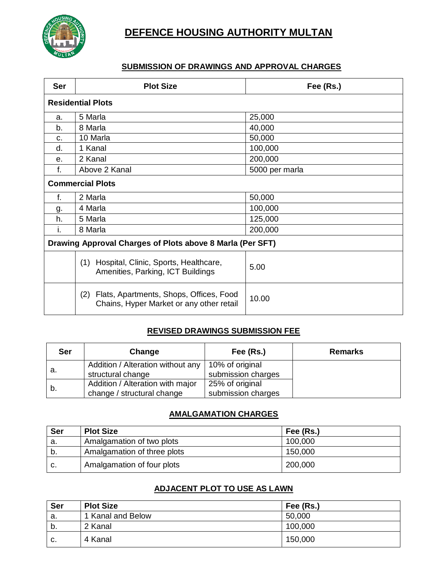

### **SUBMISSION OF DRAWINGS AND APPROVAL CHARGES**

| <b>Ser</b>                                                | <b>Plot Size</b>                                                                           | Fee (Rs.)      |  |
|-----------------------------------------------------------|--------------------------------------------------------------------------------------------|----------------|--|
| <b>Residential Plots</b>                                  |                                                                                            |                |  |
| a.                                                        | 5 Marla                                                                                    | 25,000         |  |
| b.                                                        | 8 Marla                                                                                    | 40,000         |  |
| c.                                                        | 10 Marla                                                                                   | 50,000         |  |
| d.                                                        | 1 Kanal                                                                                    | 100,000        |  |
| е.                                                        | 2 Kanal                                                                                    | 200,000        |  |
| f.                                                        | Above 2 Kanal                                                                              | 5000 per marla |  |
|                                                           | <b>Commercial Plots</b>                                                                    |                |  |
| f.                                                        | 2 Marla                                                                                    | 50,000         |  |
| g.                                                        | 4 Marla                                                                                    | 100,000        |  |
| h.                                                        | 5 Marla                                                                                    | 125,000        |  |
| L.                                                        | 8 Marla                                                                                    | 200,000        |  |
| Drawing Approval Charges of Plots above 8 Marla (Per SFT) |                                                                                            |                |  |
|                                                           | Hospital, Clinic, Sports, Healthcare,<br>(1)<br>Amenities, Parking, ICT Buildings          | 5.00           |  |
|                                                           | Flats, Apartments, Shops, Offices, Food<br>(2)<br>Chains, Hyper Market or any other retail | 10.00          |  |

#### **REVISED DRAWINGS SUBMISSION FEE**

| Ser | Change                                                                   | Fee (Rs.)                             | <b>Remarks</b> |
|-----|--------------------------------------------------------------------------|---------------------------------------|----------------|
| а.  | Addition / Alteration without any   10% of original<br>structural change | submission charges                    |                |
|     | Addition / Alteration with major<br>change / structural change           | 25% of original<br>submission charges |                |

#### **AMALGAMATION CHARGES**

| <b>Ser</b> | <b>Plot Size</b>            | Fee (Rs.) |
|------------|-----------------------------|-----------|
| а.         | Amalgamation of two plots   | 100,000   |
| b.         | Amalgamation of three plots | 150,000   |
| C.         | Amalgamation of four plots  | 200,000   |

#### **ADJACENT PLOT TO USE AS LAWN**

| <b>Ser</b> | <b>Plot Size</b>  | Fee (Rs.) |
|------------|-------------------|-----------|
| а.         | 1 Kanal and Below | 50,000    |
| b.         | 2 Kanal           | 100,000   |
| C.         | 4 Kanal           | 150,000   |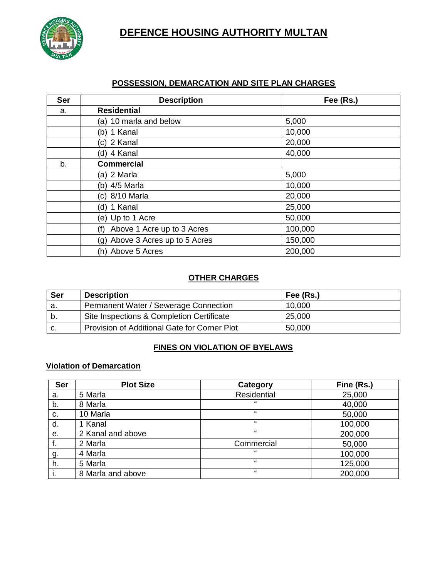

#### **POSSESSION, DEMARCATION AND SITE PLAN CHARGES**

| Ser | <b>Description</b>                | Fee (Rs.) |
|-----|-----------------------------------|-----------|
| а.  | <b>Residential</b>                |           |
|     | (a) 10 marla and below            | 5,000     |
|     | (b) 1 Kanal                       | 10,000    |
|     | (c) 2 Kanal                       | 20,000    |
|     | (d) 4 Kanal                       | 40,000    |
| b.  | <b>Commercial</b>                 |           |
|     | (a) 2 Marla                       | 5,000     |
|     | (b) 4/5 Marla                     | 10,000    |
|     | (c) 8/10 Marla                    | 20,000    |
|     | (d) 1 Kanal                       | 25,000    |
|     | (e) Up to 1 Acre                  | 50,000    |
|     | Above 1 Acre up to 3 Acres<br>(f) | 100,000   |
|     | (g) Above 3 Acres up to 5 Acres   | 150,000   |
|     | (h) Above 5 Acres                 | 200,000   |

#### **OTHER CHARGES**

| <b>Ser</b> | <b>Description</b>                           | Fee (Rs.) |
|------------|----------------------------------------------|-----------|
| а.         | Permanent Water / Sewerage Connection        | 10,000    |
| b.         | Site Inspections & Completion Certificate    | 25,000    |
| C.         | Provision of Additional Gate for Corner Plot | 50,000    |

#### **FINES ON VIOLATION OF BYELAWS**

### **Violation of Demarcation**

| <b>Ser</b> | <b>Plot Size</b>  | Category    | Fine (Rs.) |
|------------|-------------------|-------------|------------|
| a.         | 5 Marla           | Residential | 25,000     |
| b.         | 8 Marla           | 66          | 40,000     |
| C.         | 10 Marla          | $\epsilon$  | 50,000     |
| d.         | 1 Kanal           | $\epsilon$  | 100,000    |
| е.         | 2 Kanal and above | $\epsilon$  | 200,000    |
| Ť.         | 2 Marla           | Commercial  | 50,000     |
| g.         | 4 Marla           | 66          | 100,000    |
| h.         | 5 Marla           | $\epsilon$  | 125,000    |
| ι.         | 8 Marla and above | $\epsilon$  | 200,000    |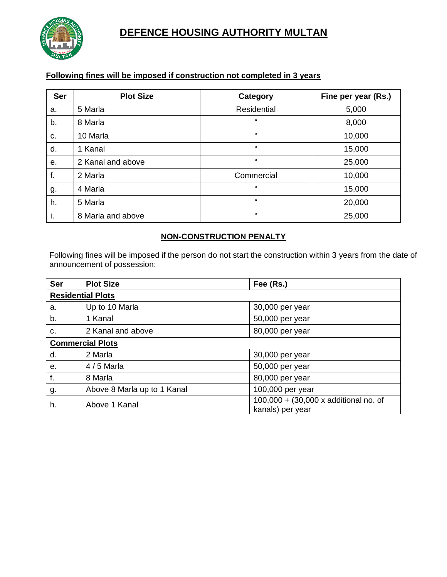

#### **Following fines will be imposed if construction not completed in 3 years**

| <b>Ser</b> | <b>Plot Size</b>  | <b>Category</b> | Fine per year (Rs.) |
|------------|-------------------|-----------------|---------------------|
| a.         | 5 Marla           | Residential     | 5,000               |
| b.         | 8 Marla           | "               | 8,000               |
| C.         | 10 Marla          | $\mathbf{G}$    | 10,000              |
| d.         | 1 Kanal           | $\mathbf{G}$    | 15,000              |
| е.         | 2 Kanal and above | $\epsilon$      | 25,000              |
| f.         | 2 Marla           | Commercial      | 10,000              |
| g.         | 4 Marla           | $\mathbf{G}$    | 15,000              |
| h.         | 5 Marla           | $\mathbf{G}$    | 20,000              |
| ъ.         | 8 Marla and above | $\mathbf{G}$    | 25,000              |

#### **NON-CONSTRUCTION PENALTY**

Following fines will be imposed if the person do not start the construction within 3 years from the date of announcement of possession:

| Ser                      | <b>Plot Size</b>            | Fee (Rs.)                                                 |  |
|--------------------------|-----------------------------|-----------------------------------------------------------|--|
| <b>Residential Plots</b> |                             |                                                           |  |
| a.                       | Up to 10 Marla              | 30,000 per year                                           |  |
| b.                       | 1 Kanal                     | 50,000 per year                                           |  |
| c.                       | 2 Kanal and above           | 80,000 per year                                           |  |
| <b>Commercial Plots</b>  |                             |                                                           |  |
| d.                       | 2 Marla                     | 30,000 per year                                           |  |
| е.                       | $4/5$ Marla                 | 50,000 per year                                           |  |
| f.                       | 8 Marla                     | 80,000 per year                                           |  |
| g.                       | Above 8 Marla up to 1 Kanal | 100,000 per year                                          |  |
| h.                       | Above 1 Kanal               | 100,000 + (30,000 x additional no. of<br>kanals) per year |  |